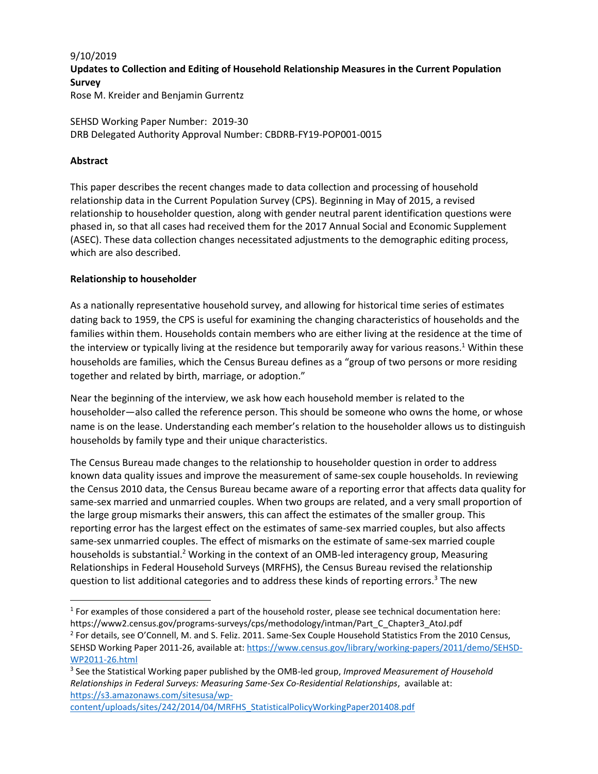#### 9/10/2019

# **Updates to Collection and Editing of Household Relationship Measures in the Current Population Survey**

Rose M. Kreider and Benjamin Gurrentz

SEHSD Working Paper Number: 2019-30 DRB Delegated Authority Approval Number: CBDRB-FY19-POP001-0015

#### **Abstract**

This paper describes the recent changes made to data collection and processing of household relationship data in the Current Population Survey (CPS). Beginning in May of 2015, a revised relationship to householder question, along with gender neutral parent identification questions were phased in, so that all cases had received them for the 2017 Annual Social and Economic Supplement (ASEC). These data collection changes necessitated adjustments to the demographic editing process, which are also described.

#### **Relationship to householder**

As a nationally representative household survey, and allowing for historical time series of estimates dating back to 1959, the CPS is useful for examining the changing characteristics of households and the families within them. Households contain members who are either living at the residence at the time of the interview or typically living at the residence but temporarily away for various reasons.<sup>1</sup> Within these households are families, which the Census Bureau defines as a "group of two persons or more residing together and related by birth, marriage, or adoption."

Near the beginning of the interview, we ask how each household member is related to the householder—also called the reference person. This should be someone who owns the home, or whose name is on the lease. Understanding each member's relation to the householder allows us to distinguish households by family type and their unique characteristics.

The Census Bureau made changes to the relationship to householder question in order to address known data quality issues and improve the measurement of same-sex couple households. In reviewing the Census 2010 data, the Census Bureau became aware of a reporting error that affects data quality for same-sex married and unmarried couples. When two groups are related, and a very small proportion of the large group mismarks their answers, this can affect the estimates of the smaller group. This reporting error has the largest effect on the estimates of same-sex married couples, but also affects same-sex unmarried couples. The effect of mismarks on the estimate of same-sex married couple households is substantial.<sup>2</sup> Working in the context of an OMB-led interagency group, Measuring Relationships in Federal Household Surveys (MRFHS), the Census Bureau revised the relationship question to list additional categories and to address these kinds of reporting errors.<sup>3</sup> The new

<sup>2</sup> For details, see O'Connell, M. and S. Feliz. 2011. Same-Sex Couple Household Statistics From the 2010 Census, SEHSD Working Paper 2011-26, available at: [https://www.census.gov/library/working-papers/2011/demo/SEHSD-](https://www.census.gov/library/working-papers/2011/demo/SEHSD-WP2011-26.html)[WP2011-26.html](https://www.census.gov/library/working-papers/2011/demo/SEHSD-WP2011-26.html)

 $\overline{\phantom{a}}$  $1$  For examples of those considered a part of the household roster, please see technical documentation here: https://www2.census.gov/programs-surveys/cps/methodology/intman/Part\_C\_Chapter3\_AtoJ.pdf

<sup>3</sup> See the Statistical Working paper published by the OMB-led group, *Improved Measurement of Household Relationships in Federal Surveys: Measuring Same-Sex Co-Residential Relationships*, available at: [https://s3.amazonaws.com/sitesusa/wp-](https://s3.amazonaws.com/sitesusa/wp-content/uploads/sites/242/2014/04/MRFHS_StatisticalPolicyWorkingPaper201408.pdf)

[content/uploads/sites/242/2014/04/MRFHS\\_StatisticalPolicyWorkingPaper201408.pdf](https://s3.amazonaws.com/sitesusa/wp-content/uploads/sites/242/2014/04/MRFHS_StatisticalPolicyWorkingPaper201408.pdf)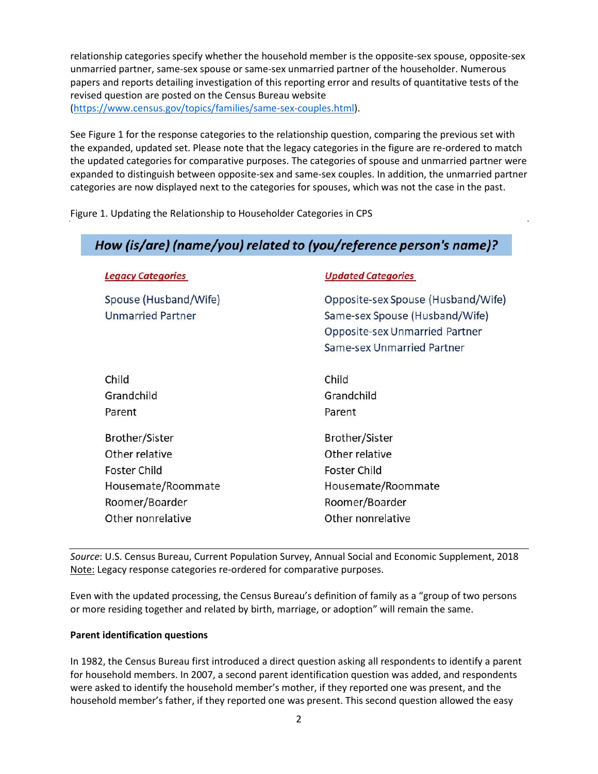relationship categories specify whether the household member is the opposite-sex spouse, opposite-sex unmarried partner, same-sex spouse or same-sex unmarried partner of the householder. Numerous papers and reports detailing investigation of this reporting error and results of quantitative tests of the revised question are posted on the Census Bureau website [\(https://www.census.gov/topics/families/same-sex-couples.html\)](https://www.census.gov/topics/families/same-sex-couples.html).

See Figure 1 for the response categories to the relationship question, comparing the previous set with the expanded, updated set. Please note that the legacy categories in the figure are re-ordered to match the updated categories for comparative purposes. The categories of spouse and unmarried partner were expanded to distinguish between opposite-sex and same-sex couples. In addition, the unmarried partner categories are now displayed next to the categories for spouses, which was not the case in the past.

Figure 1. Updating the Relationship to Householder Categories in CPS

# How (is/are) (name/you) related to (you/reference person's name)?

| <b>Legacy Categories</b>                          | <b>Updated Categories</b>                                                                                                                   |
|---------------------------------------------------|---------------------------------------------------------------------------------------------------------------------------------------------|
| Spouse (Husband/Wife)<br><b>Unmarried Partner</b> | Opposite-sex Spouse (Husband/Wife)<br>Same-sex Spouse (Husband/Wife)<br><b>Opposite-sex Unmarried Partner</b><br>Same-sex Unmarried Partner |
| Child                                             | Child                                                                                                                                       |
| Grandchild                                        | Grandchild                                                                                                                                  |
| Parent                                            | Parent                                                                                                                                      |
| Brother/Sister                                    | Brother/Sister                                                                                                                              |
| Other relative                                    | Other relative                                                                                                                              |
| Foster Child                                      | Foster Child                                                                                                                                |
| Housemate/Roommate                                | Housemate/Roommate                                                                                                                          |
| Roomer/Boarder                                    | Roomer/Boarder                                                                                                                              |
| Other nonrelative                                 | Other nonrelative                                                                                                                           |

*Source*: U.S. Census Bureau, Current Population Survey, Annual Social and Economic Supplement, 2018 Note: Legacy response categories re-ordered for comparative purposes.

Even with the updated processing, the Census Bureau's definition of family as a "group of two persons or more residing together and related by birth, marriage, or adoption" will remain the same.

#### **Parent identification questions**

In 1982, the Census Bureau first introduced a direct question asking all respondents to identify a parent for household members. In 2007, a second parent identification question was added, and respondents were asked to identify the household member's mother, if they reported one was present, and the household member's father, if they reported one was present. This second question allowed the easy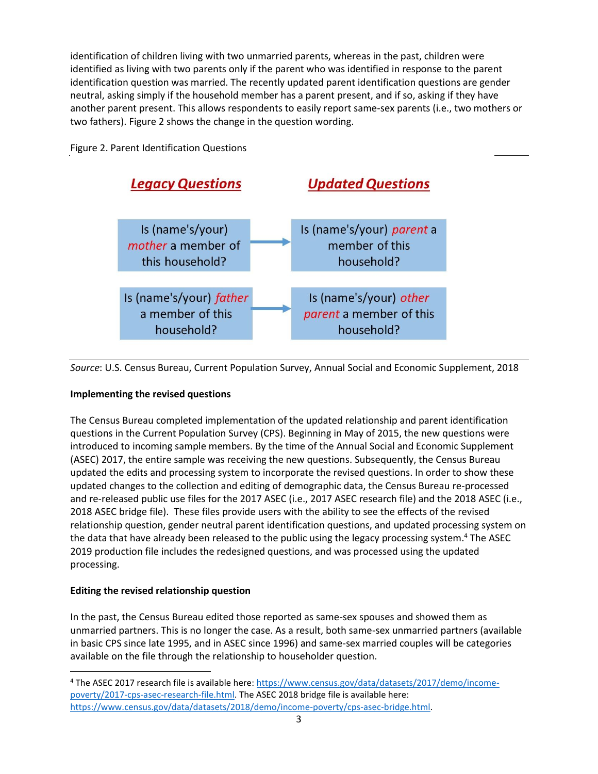identification of children living with two unmarried parents, whereas in the past, children were identified as living with two parents only if the parent who was identified in response to the parent identification question was married. The recently updated parent identification questions are gender neutral, asking simply if the household member has a parent present, and if so, asking if they have another parent present. This allows respondents to easily report same-sex parents (i.e., two mothers or two fathers). Figure 2 shows the change in the question wording.

## Figure 2. Parent Identification Questions



*Source*: U.S. Census Bureau, Current Population Survey, Annual Social and Economic Supplement, 2018

## **Implementing the revised questions**

The Census Bureau completed implementation of the updated relationship and parent identification questions in the Current Population Survey (CPS). Beginning in May of 2015, the new questions were introduced to incoming sample members. By the time of the Annual Social and Economic Supplement (ASEC) 2017, the entire sample was receiving the new questions. Subsequently, the Census Bureau updated the edits and processing system to incorporate the revised questions. In order to show these updated changes to the collection and editing of demographic data, the Census Bureau re-processed and re-released public use files for the 2017 ASEC (i.e., 2017 ASEC research file) and the 2018 ASEC (i.e., 2018 ASEC bridge file). These files provide users with the ability to see the effects of the revised relationship question, gender neutral parent identification questions, and updated processing system on the data that have already been released to the public using the legacy processing system. <sup>4</sup> The ASEC 2019 production file includes the redesigned questions, and was processed using the updated processing.

## **Editing the revised relationship question**

l

In the past, the Census Bureau edited those reported as same-sex spouses and showed them as unmarried partners. This is no longer the case. As a result, both same-sex unmarried partners (available in basic CPS since late 1995, and in ASEC since 1996) and same-sex married couples will be categories available on the file through the relationship to householder question.

<sup>&</sup>lt;sup>4</sup> The ASEC 2017 research file is available here: [https://www.census.gov/data/datasets/2017/demo/income](https://www.census.gov/data/datasets/2017/demo/income-poverty/2017-cps-asec-research-file.html)[poverty/2017-cps-asec-research-file.html.](https://www.census.gov/data/datasets/2017/demo/income-poverty/2017-cps-asec-research-file.html) The ASEC 2018 bridge file is available here: [https://www.census.gov/data/datasets/2018/demo/income-poverty/cps-asec-bridge.html.](https://www.census.gov/data/datasets/2018/demo/income-poverty/cps-asec-bridge.html)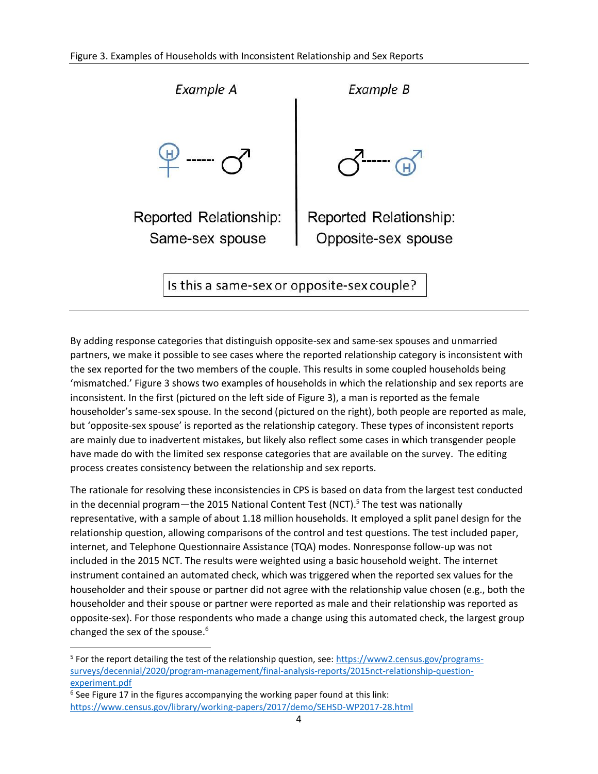

By adding response categories that distinguish opposite-sex and same-sex spouses and unmarried partners, we make it possible to see cases where the reported relationship category is inconsistent with the sex reported for the two members of the couple. This results in some coupled households being 'mismatched.' Figure 3 shows two examples of households in which the relationship and sex reports are inconsistent. In the first (pictured on the left side of Figure 3), a man is reported as the female householder's same-sex spouse. In the second (pictured on the right), both people are reported as male, but 'opposite-sex spouse' is reported as the relationship category. These types of inconsistent reports are mainly due to inadvertent mistakes, but likely also reflect some cases in which transgender people have made do with the limited sex response categories that are available on the survey. The editing process creates consistency between the relationship and sex reports.

The rationale for resolving these inconsistencies in CPS is based on data from the largest test conducted in the decennial program—the 2015 National Content Test (NCT).<sup>5</sup> The test was nationally representative, with a sample of about 1.18 million households. It employed a split panel design for the relationship question, allowing comparisons of the control and test questions. The test included paper, internet, and Telephone Questionnaire Assistance (TQA) modes. Nonresponse follow-up was not included in the 2015 NCT. The results were weighted using a basic household weight. The internet instrument contained an automated check, which was triggered when the reported sex values for the householder and their spouse or partner did not agree with the relationship value chosen (e.g., both the householder and their spouse or partner were reported as male and their relationship was reported as opposite-sex). For those respondents who made a change using this automated check, the largest group changed the sex of the spouse. 6

 $6$  See Figure 17 in the figures accompanying the working paper found at this link: <https://www.census.gov/library/working-papers/2017/demo/SEHSD-WP2017-28.html>

l

<sup>&</sup>lt;sup>5</sup> For the report detailing the test of the relationship question, see: [https://www2.census.gov/programs](https://www2.census.gov/programs-surveys/decennial/2020/program-management/final-analysis-reports/2015nct-relationship-question-experiment.pdf)[surveys/decennial/2020/program-management/final-analysis-reports/2015nct-relationship-question](https://www2.census.gov/programs-surveys/decennial/2020/program-management/final-analysis-reports/2015nct-relationship-question-experiment.pdf)[experiment.pdf](https://www2.census.gov/programs-surveys/decennial/2020/program-management/final-analysis-reports/2015nct-relationship-question-experiment.pdf)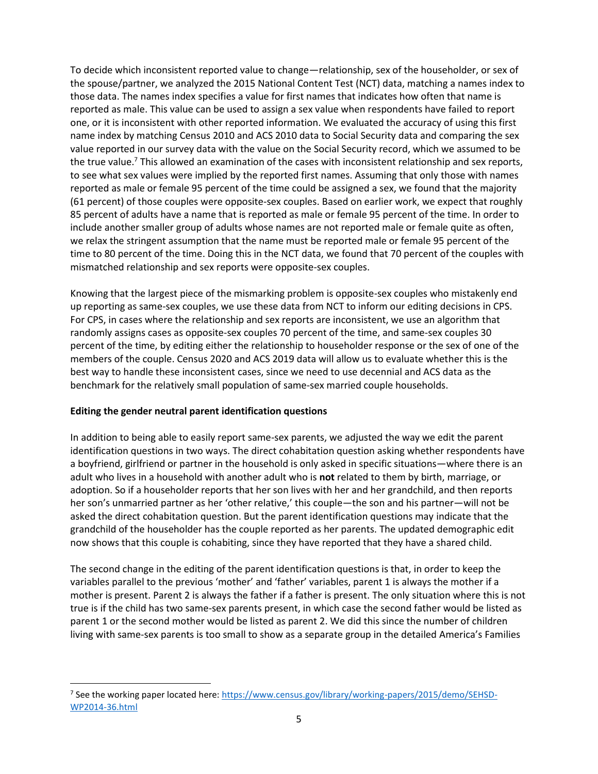To decide which inconsistent reported value to change—relationship, sex of the householder, or sex of the spouse/partner, we analyzed the 2015 National Content Test (NCT) data, matching a names index to those data. The names index specifies a value for first names that indicates how often that name is reported as male. This value can be used to assign a sex value when respondents have failed to report one, or it is inconsistent with other reported information. We evaluated the accuracy of using this first name index by matching Census 2010 and ACS 2010 data to Social Security data and comparing the sex value reported in our survey data with the value on the Social Security record, which we assumed to be the true value.<sup>7</sup> This allowed an examination of the cases with inconsistent relationship and sex reports, to see what sex values were implied by the reported first names. Assuming that only those with names reported as male or female 95 percent of the time could be assigned a sex, we found that the majority (61 percent) of those couples were opposite-sex couples. Based on earlier work, we expect that roughly 85 percent of adults have a name that is reported as male or female 95 percent of the time. In order to include another smaller group of adults whose names are not reported male or female quite as often, we relax the stringent assumption that the name must be reported male or female 95 percent of the time to 80 percent of the time. Doing this in the NCT data, we found that 70 percent of the couples with mismatched relationship and sex reports were opposite-sex couples.

Knowing that the largest piece of the mismarking problem is opposite-sex couples who mistakenly end up reporting as same-sex couples, we use these data from NCT to inform our editing decisions in CPS. For CPS, in cases where the relationship and sex reports are inconsistent, we use an algorithm that randomly assigns cases as opposite-sex couples 70 percent of the time, and same-sex couples 30 percent of the time, by editing either the relationship to householder response or the sex of one of the members of the couple. Census 2020 and ACS 2019 data will allow us to evaluate whether this is the best way to handle these inconsistent cases, since we need to use decennial and ACS data as the benchmark for the relatively small population of same-sex married couple households.

#### **Editing the gender neutral parent identification questions**

 $\overline{\phantom{a}}$ 

In addition to being able to easily report same-sex parents, we adjusted the way we edit the parent identification questions in two ways. The direct cohabitation question asking whether respondents have a boyfriend, girlfriend or partner in the household is only asked in specific situations—where there is an adult who lives in a household with another adult who is **not** related to them by birth, marriage, or adoption. So if a householder reports that her son lives with her and her grandchild, and then reports her son's unmarried partner as her 'other relative,' this couple—the son and his partner—will not be asked the direct cohabitation question. But the parent identification questions may indicate that the grandchild of the householder has the couple reported as her parents. The updated demographic edit now shows that this couple is cohabiting, since they have reported that they have a shared child.

The second change in the editing of the parent identification questions is that, in order to keep the variables parallel to the previous 'mother' and 'father' variables, parent 1 is always the mother if a mother is present. Parent 2 is always the father if a father is present. The only situation where this is not true is if the child has two same-sex parents present, in which case the second father would be listed as parent 1 or the second mother would be listed as parent 2. We did this since the number of children living with same-sex parents is too small to show as a separate group in the detailed America's Families

<sup>&</sup>lt;sup>7</sup> See the working paper located here: [https://www.census.gov/library/working-papers/2015/demo/SEHSD-](https://www.census.gov/library/working-papers/2015/demo/SEHSD-WP2014-36.html)[WP2014-36.html](https://www.census.gov/library/working-papers/2015/demo/SEHSD-WP2014-36.html)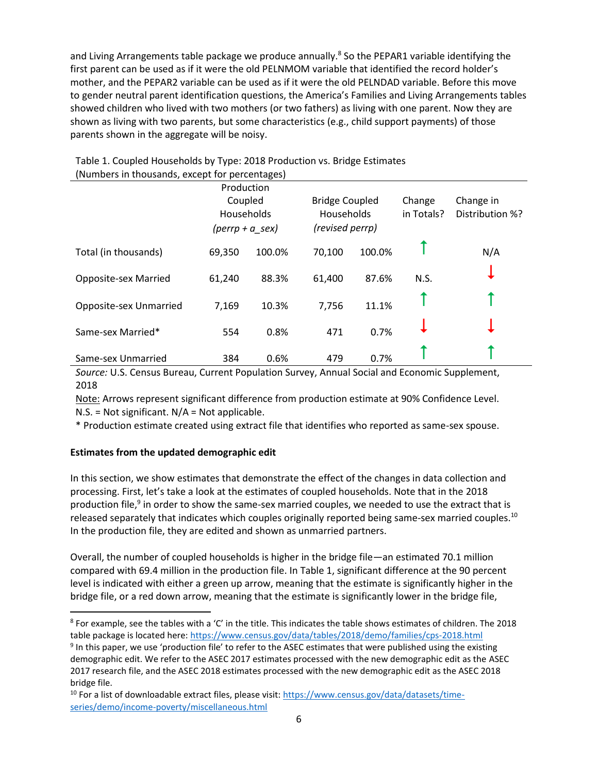and Living Arrangements table package we produce annually.<sup>8</sup> So the PEPAR1 variable identifying the first parent can be used as if it were the old PELNMOM variable that identified the record holder's mother, and the PEPAR2 variable can be used as if it were the old PELNDAD variable. Before this move to gender neutral parent identification questions, the America's Families and Living Arrangements tables showed children who lived with two mothers (or two fathers) as living with one parent. Now they are shown as living with two parents, but some characteristics (e.g., child support payments) of those parents shown in the aggregate will be noisy.

| (Numbers in thousands, except for percentages) |        |                                                          |        |                                                        |                      |                              |  |  |  |
|------------------------------------------------|--------|----------------------------------------------------------|--------|--------------------------------------------------------|----------------------|------------------------------|--|--|--|
|                                                |        | Production<br>Coupled<br>Households<br>$(perry + a sex)$ |        | <b>Bridge Coupled</b><br>Households<br>(revised perrp) | Change<br>in Totals? | Change in<br>Distribution %? |  |  |  |
| Total (in thousands)                           | 69,350 | 100.0%                                                   | 70,100 | 100.0%                                                 |                      | N/A                          |  |  |  |
| <b>Opposite-sex Married</b>                    | 61,240 | 88.3%                                                    | 61,400 | 87.6%                                                  | N.S.                 |                              |  |  |  |
| Opposite-sex Unmarried                         | 7,169  | 10.3%                                                    | 7,756  | 11.1%                                                  |                      |                              |  |  |  |
| Same-sex Married*                              | 554    | 0.8%                                                     | 471    | 0.7%                                                   |                      |                              |  |  |  |
| Same-sex Unmarried                             | 384    | 0.6%                                                     | 479    | 0.7%                                                   |                      |                              |  |  |  |

Table 1. Coupled Households by Type: 2018 Production vs. Bridge Estimates

*Source:* U.S. Census Bureau, Current Population Survey, Annual Social and Economic Supplement, 2018

Note: Arrows represent significant difference from production estimate at 90% Confidence Level.  $N.S. = Not significant. N/A = Not applicable.$ 

\* Production estimate created using extract file that identifies who reported as same-sex spouse.

### **Estimates from the updated demographic edit**

 $\overline{\phantom{a}}$ 

In this section, we show estimates that demonstrate the effect of the changes in data collection and processing. First, let's take a look at the estimates of coupled households. Note that in the 2018 production file,<sup>9</sup> in order to show the same-sex married couples, we needed to use the extract that is released separately that indicates which couples originally reported being same-sex married couples.<sup>10</sup> In the production file, they are edited and shown as unmarried partners.

Overall, the number of coupled households is higher in the bridge file—an estimated 70.1 million compared with 69.4 million in the production file. In Table 1, significant difference at the 90 percent level is indicated with either a green up arrow, meaning that the estimate is significantly higher in the bridge file, or a red down arrow, meaning that the estimate is significantly lower in the bridge file,

 $8$  For example, see the tables with a 'C' in the title. This indicates the table shows estimates of children. The 2018 table package is located here:<https://www.census.gov/data/tables/2018/demo/families/cps-2018.html>

<sup>&</sup>lt;sup>9</sup> In this paper, we use 'production file' to refer to the ASEC estimates that were published using the existing demographic edit. We refer to the ASEC 2017 estimates processed with the new demographic edit as the ASEC 2017 research file, and the ASEC 2018 estimates processed with the new demographic edit as the ASEC 2018 bridge file.

<sup>&</sup>lt;sup>10</sup> For a list of downloadable extract files, please visit: [https://www.census.gov/data/datasets/time](https://www.census.gov/data/datasets/time-series/demo/income-poverty/miscellaneous.html)[series/demo/income-poverty/miscellaneous.html](https://www.census.gov/data/datasets/time-series/demo/income-poverty/miscellaneous.html)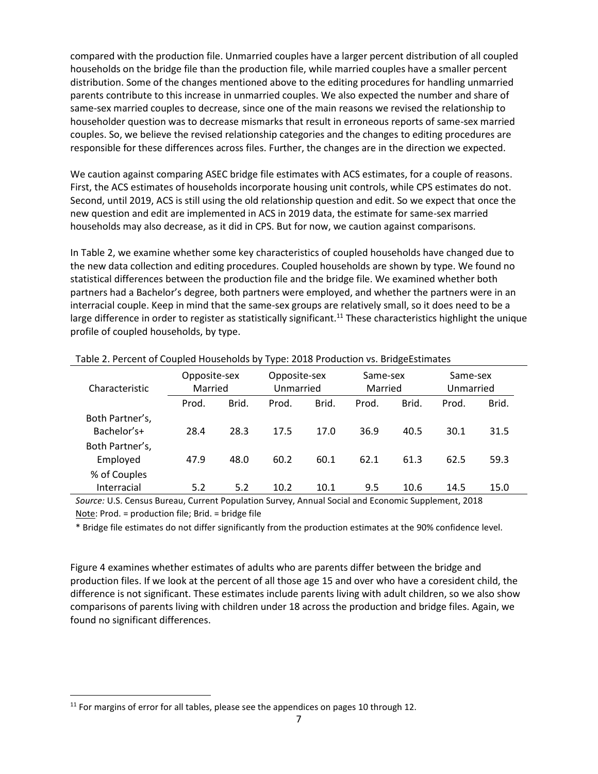compared with the production file. Unmarried couples have a larger percent distribution of all coupled households on the bridge file than the production file, while married couples have a smaller percent distribution. Some of the changes mentioned above to the editing procedures for handling unmarried parents contribute to this increase in unmarried couples. We also expected the number and share of same-sex married couples to decrease, since one of the main reasons we revised the relationship to householder question was to decrease mismarks that result in erroneous reports of same-sex married couples. So, we believe the revised relationship categories and the changes to editing procedures are responsible for these differences across files. Further, the changes are in the direction we expected.

We caution against comparing ASEC bridge file estimates with ACS estimates, for a couple of reasons. First, the ACS estimates of households incorporate housing unit controls, while CPS estimates do not. Second, until 2019, ACS is still using the old relationship question and edit. So we expect that once the new question and edit are implemented in ACS in 2019 data, the estimate for same-sex married households may also decrease, as it did in CPS. But for now, we caution against comparisons.

In Table 2, we examine whether some key characteristics of coupled households have changed due to the new data collection and editing procedures. Coupled households are shown by type. We found no statistical differences between the production file and the bridge file. We examined whether both partners had a Bachelor's degree, both partners were employed, and whether the partners were in an interracial couple. Keep in mind that the same-sex groups are relatively small, so it does need to be a large difference in order to register as statistically significant.<sup>11</sup> These characteristics highlight the unique profile of coupled households, by type.

| Characteristic                 | Opposite-sex<br>Married |       | Opposite-sex<br>Unmarried |       | Same-sex<br>Married |       | Same-sex<br>Unmarried |       |
|--------------------------------|-------------------------|-------|---------------------------|-------|---------------------|-------|-----------------------|-------|
|                                | Prod.                   | Brid. | Prod.                     | Brid. | Prod.               | Brid. | Prod.                 | Brid. |
| Both Partner's,<br>Bachelor's+ | 28.4                    | 28.3  | 17.5                      | 17.0  | 36.9                | 40.5  | 30.1                  | 31.5  |
| Both Partner's,<br>Employed    | 47.9                    | 48.0  | 60.2                      | 60.1  | 62.1                | 61.3  | 62.5                  | 59.3  |
| % of Couples<br>Interracial    | 5.2                     | 5.2   | 10.2                      | 10.1  | 9.5                 | 10.6  | 14.5                  | 15.0  |

Table 2. Percent of Coupled Households by Type: 2018 Production vs. BridgeEstimates

*Source:* U.S. Census Bureau, Current Population Survey, Annual Social and Economic Supplement, 2018 Note: Prod. = production file; Brid. = bridge file

\* Bridge file estimates do not differ significantly from the production estimates at the 90% confidence level.

Figure 4 examines whether estimates of adults who are parents differ between the bridge and production files. If we look at the percent of all those age 15 and over who have a coresident child, the difference is not significant. These estimates include parents living with adult children, so we also show comparisons of parents living with children under 18 across the production and bridge files. Again, we found no significant differences.

l

 $11$  For margins of error for all tables, please see the appendices on pages 10 through 12.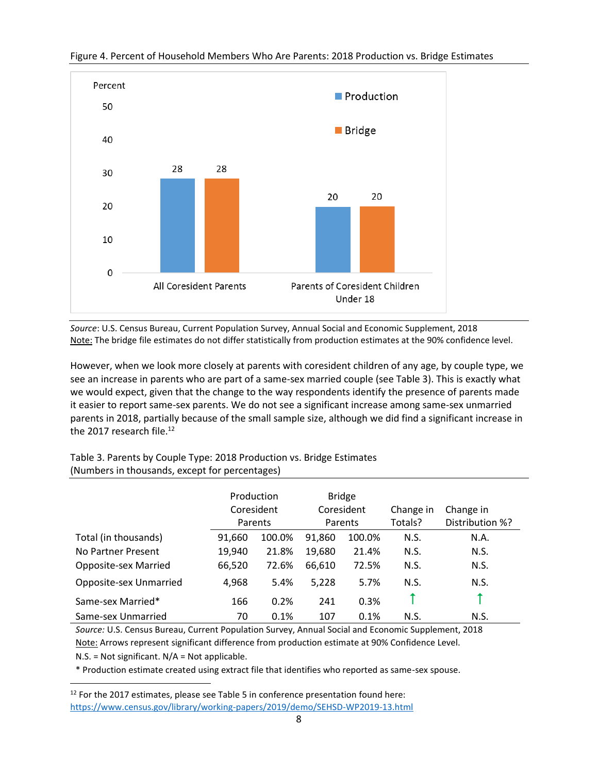

#### Figure 4. Percent of Household Members Who Are Parents: 2018 Production vs. Bridge Estimates

*Source*: U.S. Census Bureau, Current Population Survey, Annual Social and Economic Supplement, 2018 Note: The bridge file estimates do not differ statistically from production estimates at the 90% confidence level.

However, when we look more closely at parents with coresident children of any age, by couple type, we see an increase in parents who are part of a same-sex married couple (see Table 3). This is exactly what we would expect, given that the change to the way respondents identify the presence of parents made it easier to report same-sex parents. We do not see a significant increase among same-sex unmarried parents in 2018, partially because of the small sample size, although we did find a significant increase in the 2017 research file.<sup>12</sup>

#### Table 3. Parents by Couple Type: 2018 Production vs. Bridge Estimates (Numbers in thousands, except for percentages)

|                        | Production<br>Coresident<br>Parents |        | <b>Bridge</b><br>Coresident<br>Parents |        | Change in<br>Totals? | Change in<br>Distribution %? |
|------------------------|-------------------------------------|--------|----------------------------------------|--------|----------------------|------------------------------|
| Total (in thousands)   | 91,660                              | 100.0% | 91,860                                 | 100.0% | N.S.                 | N.A.                         |
| No Partner Present     | 19,940                              | 21.8%  | 19,680                                 | 21.4%  | N.S.                 | N.S.                         |
| Opposite-sex Married   | 66,520                              | 72.6%  | 66,610                                 | 72.5%  | N.S.                 | N.S.                         |
| Opposite-sex Unmarried | 4,968                               | 5.4%   | 5,228                                  | 5.7%   | N.S.                 | N.S.                         |
| Same-sex Married*      | 166                                 | 0.2%   | 241                                    | 0.3%   |                      |                              |
| Same-sex Unmarried     | 70                                  | 0.1%   | 107                                    | 0.1%   | N.S.                 | N.S.                         |

*Source:* U.S. Census Bureau, Current Population Survey, Annual Social and Economic Supplement, 2018 Note: Arrows represent significant difference from production estimate at 90% Confidence Level.

N.S. = Not significant. N/A = Not applicable.

 $\overline{\phantom{a}}$ 

\* Production estimate created using extract file that identifies who reported as same-sex spouse.

 $12$  For the 2017 estimates, please see Table 5 in conference presentation found here: <https://www.census.gov/library/working-papers/2019/demo/SEHSD-WP2019-13.html>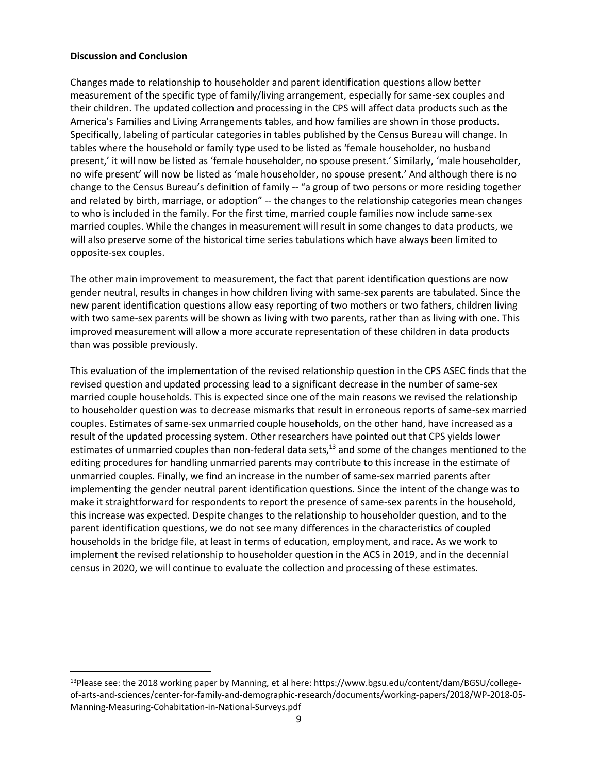#### **Discussion and Conclusion**

l

Changes made to relationship to householder and parent identification questions allow better measurement of the specific type of family/living arrangement, especially for same-sex couples and their children. The updated collection and processing in the CPS will affect data products such as the America's Families and Living Arrangements tables, and how families are shown in those products. Specifically, labeling of particular categories in tables published by the Census Bureau will change. In tables where the household or family type used to be listed as 'female householder, no husband present,' it will now be listed as 'female householder, no spouse present.' Similarly, 'male householder, no wife present' will now be listed as 'male householder, no spouse present.' And although there is no change to the Census Bureau's definition of family -- "a group of two persons or more residing together and related by birth, marriage, or adoption" -- the changes to the relationship categories mean changes to who is included in the family. For the first time, married couple families now include same-sex married couples. While the changes in measurement will result in some changes to data products, we will also preserve some of the historical time series tabulations which have always been limited to opposite-sex couples.

The other main improvement to measurement, the fact that parent identification questions are now gender neutral, results in changes in how children living with same-sex parents are tabulated. Since the new parent identification questions allow easy reporting of two mothers or two fathers, children living with two same-sex parents will be shown as living with two parents, rather than as living with one. This improved measurement will allow a more accurate representation of these children in data products than was possible previously.

This evaluation of the implementation of the revised relationship question in the CPS ASEC finds that the revised question and updated processing lead to a significant decrease in the number of same-sex married couple households. This is expected since one of the main reasons we revised the relationship to householder question was to decrease mismarks that result in erroneous reports of same-sex married couples. Estimates of same-sex unmarried couple households, on the other hand, have increased as a result of the updated processing system. Other researchers have pointed out that CPS yields lower estimates of unmarried couples than non-federal data sets, $^{13}$  and some of the changes mentioned to the editing procedures for handling unmarried parents may contribute to this increase in the estimate of unmarried couples. Finally, we find an increase in the number of same-sex married parents after implementing the gender neutral parent identification questions. Since the intent of the change was to make it straightforward for respondents to report the presence of same-sex parents in the household, this increase was expected. Despite changes to the relationship to householder question, and to the parent identification questions, we do not see many differences in the characteristics of coupled households in the bridge file, at least in terms of education, employment, and race. As we work to implement the revised relationship to householder question in the ACS in 2019, and in the decennial census in 2020, we will continue to evaluate the collection and processing of these estimates.

<sup>&</sup>lt;sup>13</sup>Please see: the 2018 working paper by Manning, et al here: https://www.bgsu.edu/content/dam/BGSU/collegeof-arts-and-sciences/center-for-family-and-demographic-research/documents/working-papers/2018/WP-2018-05- Manning-Measuring-Cohabitation-in-National-Surveys.pdf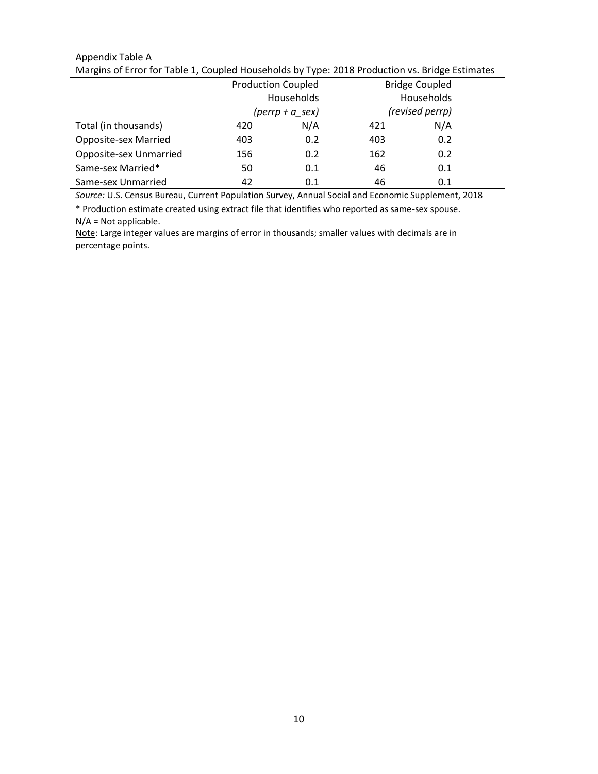#### Appendix Table A Margins of Error for Table 1, Coupled Households by Type: 2018 Production vs. Bridge Estimates

|                        | <b>Production Coupled</b> |                                 |     | <b>Bridge Coupled</b> |  |
|------------------------|---------------------------|---------------------------------|-----|-----------------------|--|
|                        |                           | Households                      |     | Households            |  |
|                        |                           | $(\text{perrp} + a \text{sex})$ |     | (revised perrp)       |  |
| Total (in thousands)   | 420                       | N/A                             | 421 | N/A                   |  |
| Opposite-sex Married   | 403                       | 0.2                             | 403 | 0.2                   |  |
| Opposite-sex Unmarried | 156                       | 0.2                             | 162 | 0.2                   |  |
| Same-sex Married*      | 50                        | 0.1                             | 46  | 0.1                   |  |
| Same-sex Unmarried     | 42                        | 0.1                             | 46  | 0.1                   |  |

*Source:* U.S. Census Bureau, Current Population Survey, Annual Social and Economic Supplement, 2018

\* Production estimate created using extract file that identifies who reported as same-sex spouse. N/A = Not applicable.

Note: Large integer values are margins of error in thousands; smaller values with decimals are in percentage points.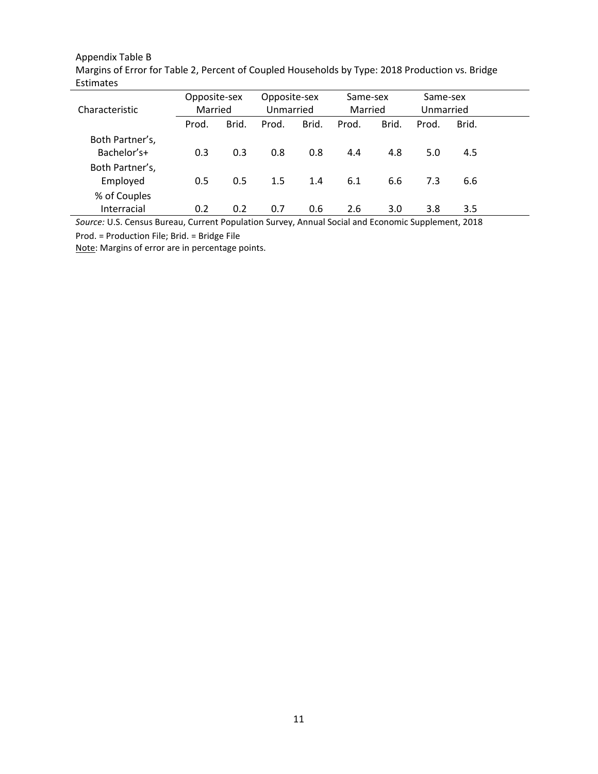# Appendix Table B

| Margins of Error for Table 2, Percent of Coupled Households by Type: 2018 Production vs. Bridge |  |
|-------------------------------------------------------------------------------------------------|--|
| Estimates                                                                                       |  |

| Characteristic                                                                                                                                        | Opposite-sex<br>Married |       | Opposite-sex<br>Unmarried |       | Same-sex<br>Married |       | Same-sex<br>Unmarried |       |  |
|-------------------------------------------------------------------------------------------------------------------------------------------------------|-------------------------|-------|---------------------------|-------|---------------------|-------|-----------------------|-------|--|
|                                                                                                                                                       | Prod.                   | Brid. | Prod.                     | Brid. | Prod.               | Brid. | Prod.                 | Brid. |  |
| Both Partner's,<br>Bachelor's+                                                                                                                        | 0.3                     | 0.3   | 0.8                       | 0.8   | 4.4                 | 4.8   | 5.0                   | 4.5   |  |
| Both Partner's,<br>Employed                                                                                                                           | 0.5                     | 0.5   | 1.5                       | 1.4   | 6.1                 | 6.6   | 7.3                   | 6.6   |  |
| % of Couples<br>Interracial                                                                                                                           | 0.2                     | 0.2   | 0.7                       | 0.6   | 2.6                 | 3.0   | 3.8                   | 3.5   |  |
| $\overline{C}$ , and $\overline{C}$ and $\overline{C}$ and $\overline{C}$ and $\overline{C}$ and $\overline{C}$ and $\overline{C}$ and $\overline{C}$ |                         |       |                           |       |                     |       |                       |       |  |

*Source:* U.S. Census Bureau, Current Population Survey, Annual Social and Economic Supplement, 2018

Prod. = Production File; Brid. = Bridge File

Note: Margins of error are in percentage points.